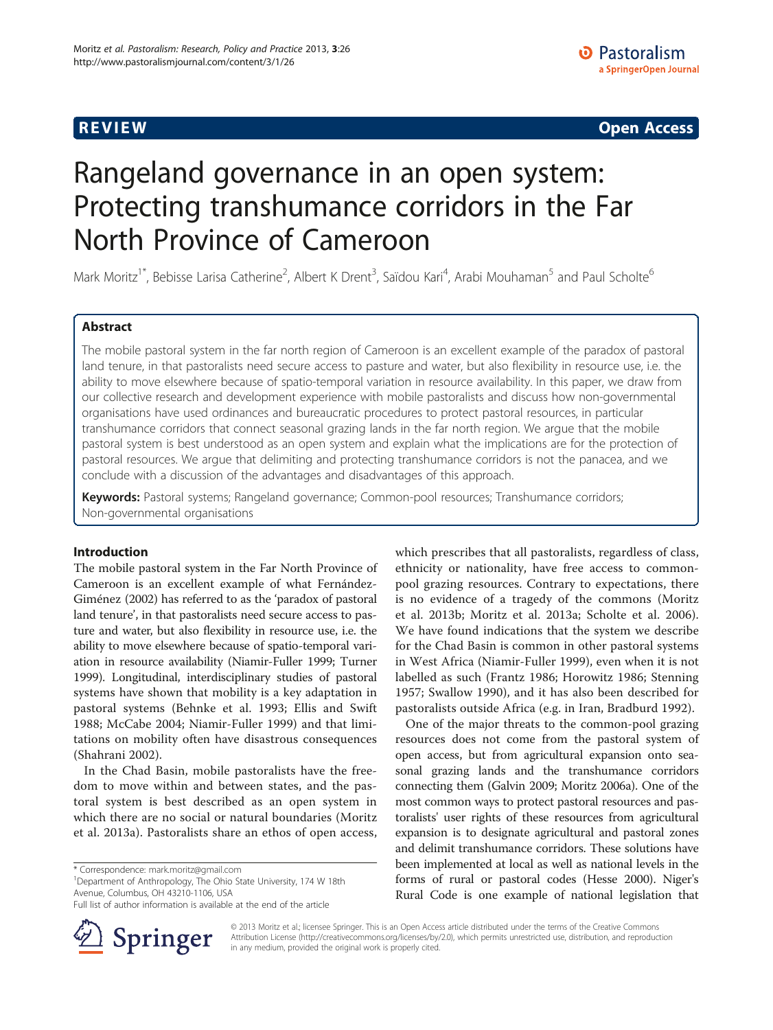**REVIEW CONSTRUCTION CONSTRUCTION CONSTRUCTS** 

# Rangeland governance in an open system: Protecting transhumance corridors in the Far North Province of Cameroon

Mark Moritz<sup>1\*</sup>, Bebisse Larisa Catherine<sup>2</sup>, Albert K Drent<sup>3</sup>, Saïdou Kari<sup>4</sup>, Arabi Mouhaman<sup>5</sup> and Paul Scholte<sup>6</sup>

# Abstract

The mobile pastoral system in the far north region of Cameroon is an excellent example of the paradox of pastoral land tenure, in that pastoralists need secure access to pasture and water, but also flexibility in resource use, i.e. the ability to move elsewhere because of spatio-temporal variation in resource availability. In this paper, we draw from our collective research and development experience with mobile pastoralists and discuss how non-governmental organisations have used ordinances and bureaucratic procedures to protect pastoral resources, in particular transhumance corridors that connect seasonal grazing lands in the far north region. We argue that the mobile pastoral system is best understood as an open system and explain what the implications are for the protection of pastoral resources. We argue that delimiting and protecting transhumance corridors is not the panacea, and we conclude with a discussion of the advantages and disadvantages of this approach.

Keywords: Pastoral systems; Rangeland governance; Common-pool resources; Transhumance corridors; Non-governmental organisations

# Introduction

The mobile pastoral system in the Far North Province of Cameroon is an excellent example of what Fernández-Giménez [\(2002\)](#page-8-0) has referred to as the 'paradox of pastoral land tenure', in that pastoralists need secure access to pasture and water, but also flexibility in resource use, i.e. the ability to move elsewhere because of spatio-temporal variation in resource availability (Niamir-Fuller [1999](#page-8-0); Turner [1999\)](#page-9-0). Longitudinal, interdisciplinary studies of pastoral systems have shown that mobility is a key adaptation in pastoral systems (Behnke et al. [1993](#page-8-0); Ellis and Swift [1988;](#page-8-0) McCabe [2004](#page-8-0); Niamir-Fuller [1999\)](#page-8-0) and that limitations on mobility often have disastrous consequences (Shahrani [2002](#page-9-0)).

In the Chad Basin, mobile pastoralists have the freedom to move within and between states, and the pastoral system is best described as an open system in which there are no social or natural boundaries (Moritz et al. [2013a\)](#page-8-0). Pastoralists share an ethos of open access,

\* Correspondence: [mark.moritz@gmail.com](mailto:mark.moritz@gmail.com) <sup>1</sup>

<sup>1</sup>Department of Anthropology, The Ohio State University, 174 W 18th Avenue, Columbus, OH 43210-1106, USA

Full list of author information is available at the end of the article



which prescribes that all pastoralists, regardless of class, ethnicity or nationality, have free access to commonpool grazing resources. Contrary to expectations, there is no evidence of a tragedy of the commons (Moritz et al. [2013b;](#page-8-0) Moritz et al. [2013a;](#page-8-0) Scholte et al. [2006](#page-9-0)). We have found indications that the system we describe for the Chad Basin is common in other pastoral systems in West Africa (Niamir-Fuller [1999](#page-8-0)), even when it is not labelled as such (Frantz [1986;](#page-8-0) Horowitz [1986](#page-8-0); Stenning [1957;](#page-9-0) Swallow [1990\)](#page-9-0), and it has also been described for pastoralists outside Africa (e.g. in Iran, Bradburd [1992](#page-8-0)).

One of the major threats to the common-pool grazing resources does not come from the pastoral system of open access, but from agricultural expansion onto seasonal grazing lands and the transhumance corridors connecting them (Galvin [2009](#page-8-0); Moritz [2006a](#page-8-0)). One of the most common ways to protect pastoral resources and pastoralists' user rights of these resources from agricultural expansion is to designate agricultural and pastoral zones and delimit transhumance corridors. These solutions have been implemented at local as well as national levels in the forms of rural or pastoral codes (Hesse [2000](#page-8-0)). Niger's Rural Code is one example of national legislation that

© 2013 Moritz et al.; licensee Springer. This is an Open Access article distributed under the terms of the Creative Commons Attribution License [\(http://creativecommons.org/licenses/by/2.0\)](http://creativecommons.org/licenses/by/2.0), which permits unrestricted use, distribution, and reproduction in any medium, provided the original work is properly cited.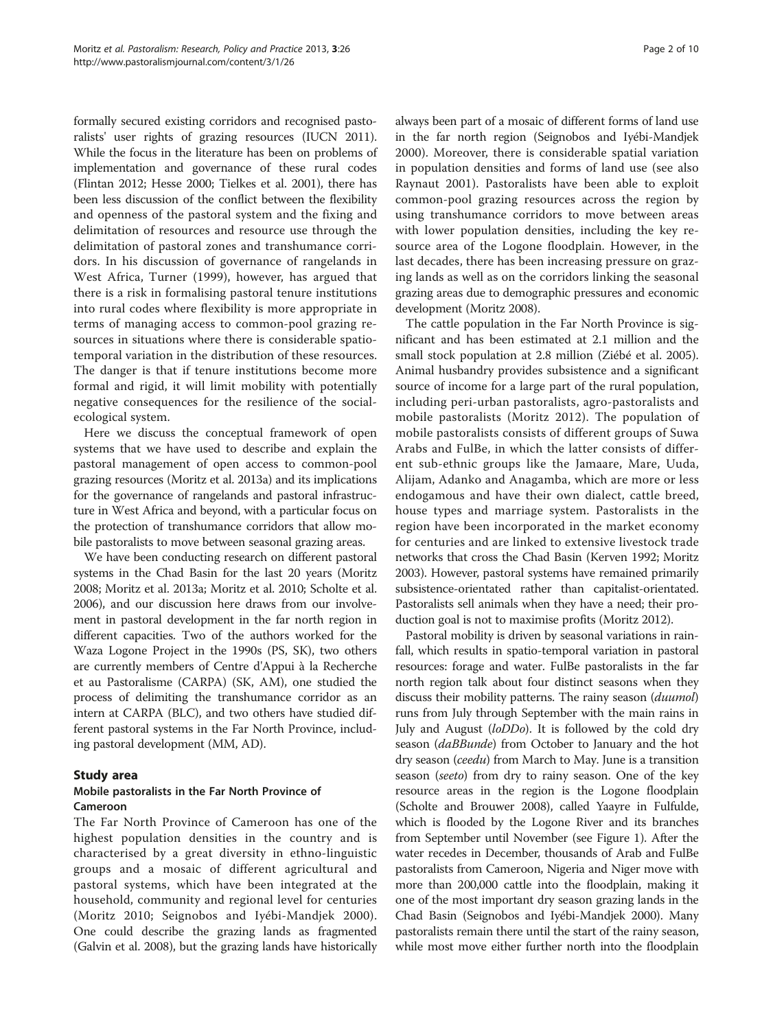formally secured existing corridors and recognised pastoralists' user rights of grazing resources (IUCN [2011](#page-8-0)). While the focus in the literature has been on problems of implementation and governance of these rural codes (Flintan [2012;](#page-8-0) Hesse [2000](#page-8-0); Tielkes et al. [2001](#page-9-0)), there has been less discussion of the conflict between the flexibility and openness of the pastoral system and the fixing and delimitation of resources and resource use through the delimitation of pastoral zones and transhumance corridors. In his discussion of governance of rangelands in West Africa, Turner ([1999](#page-9-0)), however, has argued that there is a risk in formalising pastoral tenure institutions into rural codes where flexibility is more appropriate in terms of managing access to common-pool grazing resources in situations where there is considerable spatiotemporal variation in the distribution of these resources. The danger is that if tenure institutions become more formal and rigid, it will limit mobility with potentially negative consequences for the resilience of the socialecological system.

Here we discuss the conceptual framework of open systems that we have used to describe and explain the pastoral management of open access to common-pool grazing resources (Moritz et al. [2013a\)](#page-8-0) and its implications for the governance of rangelands and pastoral infrastructure in West Africa and beyond, with a particular focus on the protection of transhumance corridors that allow mobile pastoralists to move between seasonal grazing areas.

We have been conducting research on different pastoral systems in the Chad Basin for the last 20 years (Moritz [2008;](#page-8-0) Moritz et al. [2013a](#page-8-0); Moritz et al. [2010;](#page-8-0) Scholte et al. [2006\)](#page-9-0), and our discussion here draws from our involvement in pastoral development in the far north region in different capacities. Two of the authors worked for the Waza Logone Project in the 1990s (PS, SK), two others are currently members of Centre d'Appui à la Recherche et au Pastoralisme (CARPA) (SK, AM), one studied the process of delimiting the transhumance corridor as an intern at CARPA (BLC), and two others have studied different pastoral systems in the Far North Province, including pastoral development (MM, AD).

# Study area

# Mobile pastoralists in the Far North Province of Cameroon

The Far North Province of Cameroon has one of the highest population densities in the country and is characterised by a great diversity in ethno-linguistic groups and a mosaic of different agricultural and pastoral systems, which have been integrated at the household, community and regional level for centuries (Moritz [2010](#page-8-0); Seignobos and Iyébi-Mandjek [2000](#page-9-0)). One could describe the grazing lands as fragmented (Galvin et al. [2008](#page-8-0)), but the grazing lands have historically

always been part of a mosaic of different forms of land use in the far north region (Seignobos and Iyébi-Mandjek [2000\)](#page-9-0). Moreover, there is considerable spatial variation in population densities and forms of land use (see also Raynaut [2001\)](#page-8-0). Pastoralists have been able to exploit common-pool grazing resources across the region by using transhumance corridors to move between areas with lower population densities, including the key resource area of the Logone floodplain. However, in the last decades, there has been increasing pressure on grazing lands as well as on the corridors linking the seasonal grazing areas due to demographic pressures and economic development (Moritz [2008](#page-8-0)).

The cattle population in the Far North Province is significant and has been estimated at 2.1 million and the small stock population at 2.8 million (Ziébé et al. [2005](#page-9-0)). Animal husbandry provides subsistence and a significant source of income for a large part of the rural population, including peri-urban pastoralists, agro-pastoralists and mobile pastoralists (Moritz [2012](#page-8-0)). The population of mobile pastoralists consists of different groups of Suwa Arabs and FulBe, in which the latter consists of different sub-ethnic groups like the Jamaare, Mare, Uuda, Alijam, Adanko and Anagamba, which are more or less endogamous and have their own dialect, cattle breed, house types and marriage system. Pastoralists in the region have been incorporated in the market economy for centuries and are linked to extensive livestock trade networks that cross the Chad Basin (Kerven [1992](#page-8-0); Moritz [2003](#page-8-0)). However, pastoral systems have remained primarily subsistence-orientated rather than capitalist-orientated. Pastoralists sell animals when they have a need; their production goal is not to maximise profits (Moritz [2012\)](#page-8-0).

Pastoral mobility is driven by seasonal variations in rainfall, which results in spatio-temporal variation in pastoral resources: forage and water. FulBe pastoralists in the far north region talk about four distinct seasons when they discuss their mobility patterns. The rainy season (duumol) runs from July through September with the main rains in July and August (loDDo). It is followed by the cold dry season (daBBunde) from October to January and the hot dry season (ceedu) from March to May. June is a transition season (seeto) from dry to rainy season. One of the key resource areas in the region is the Logone floodplain (Scholte and Brouwer [2008](#page-8-0)), called Yaayre in Fulfulde, which is flooded by the Logone River and its branches from September until November (see Figure [1](#page-3-0)). After the water recedes in December, thousands of Arab and FulBe pastoralists from Cameroon, Nigeria and Niger move with more than 200,000 cattle into the floodplain, making it one of the most important dry season grazing lands in the Chad Basin (Seignobos and Iyébi-Mandjek [2000\)](#page-9-0). Many pastoralists remain there until the start of the rainy season, while most move either further north into the floodplain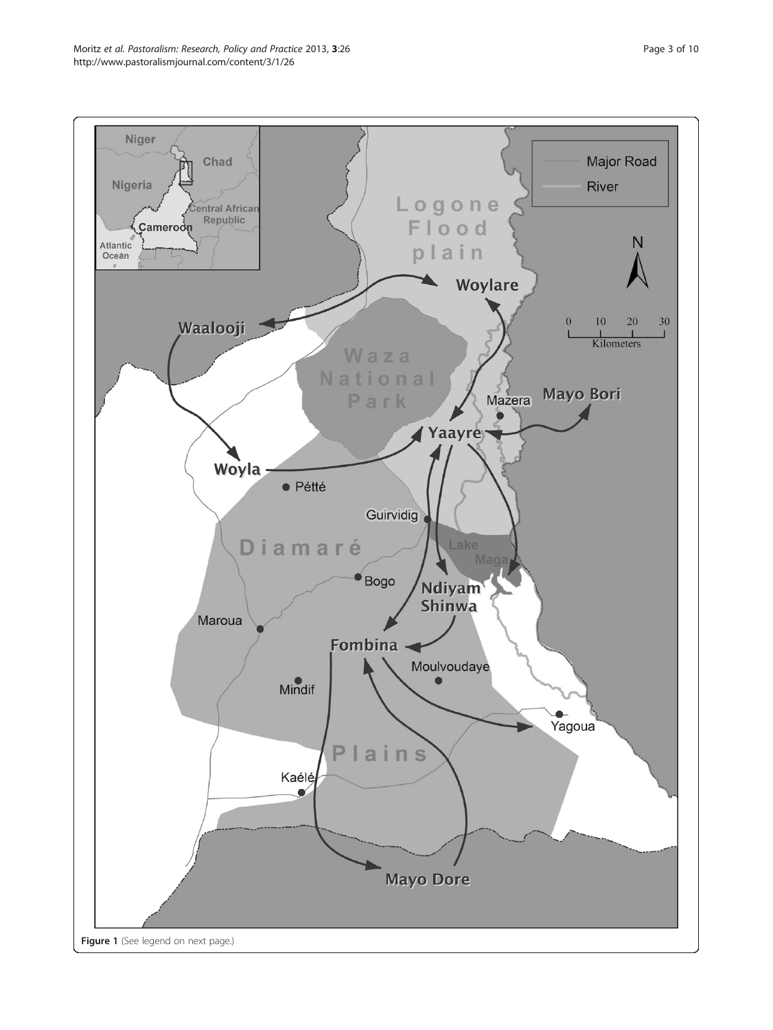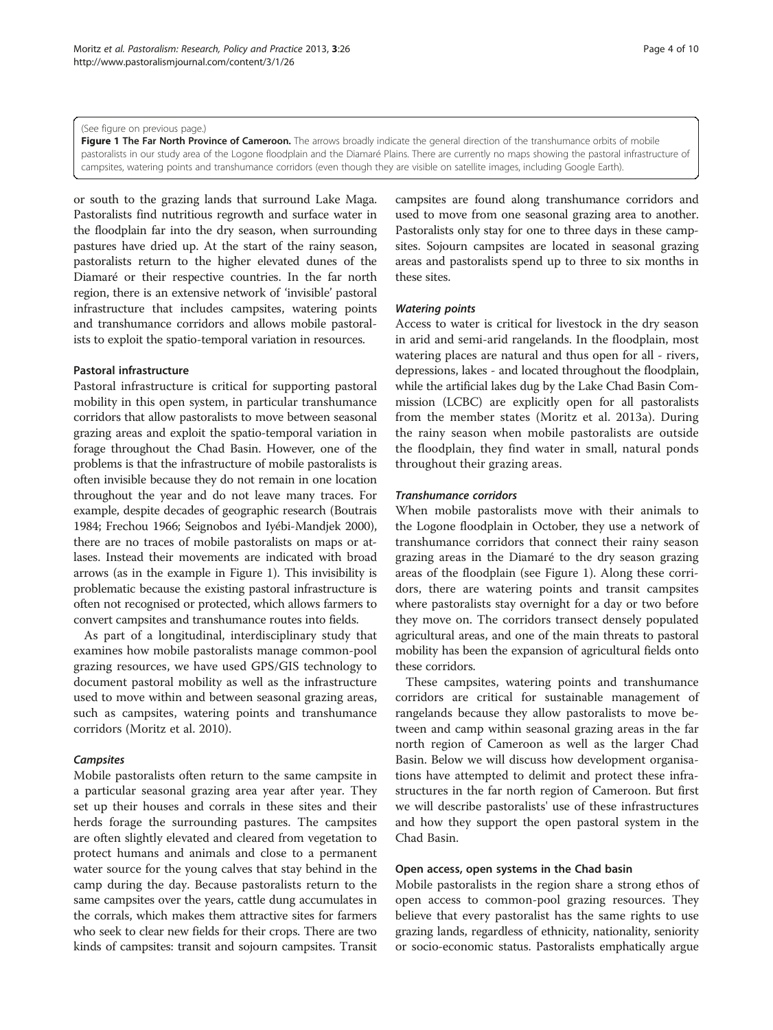#### <span id="page-3-0"></span>(See figure on previous page.)

Figure 1 The Far North Province of Cameroon. The arrows broadly indicate the general direction of the transhumance orbits of mobile pastoralists in our study area of the Logone floodplain and the Diamaré Plains. There are currently no maps showing the pastoral infrastructure of campsites, watering points and transhumance corridors (even though they are visible on satellite images, including Google Earth).

or south to the grazing lands that surround Lake Maga. Pastoralists find nutritious regrowth and surface water in the floodplain far into the dry season, when surrounding pastures have dried up. At the start of the rainy season, pastoralists return to the higher elevated dunes of the Diamaré or their respective countries. In the far north region, there is an extensive network of 'invisible' pastoral infrastructure that includes campsites, watering points and transhumance corridors and allows mobile pastoralists to exploit the spatio-temporal variation in resources.

### Pastoral infrastructure

Pastoral infrastructure is critical for supporting pastoral mobility in this open system, in particular transhumance corridors that allow pastoralists to move between seasonal grazing areas and exploit the spatio-temporal variation in forage throughout the Chad Basin. However, one of the problems is that the infrastructure of mobile pastoralists is often invisible because they do not remain in one location throughout the year and do not leave many traces. For example, despite decades of geographic research (Boutrais [1984;](#page-8-0) Frechou [1966;](#page-8-0) Seignobos and Iyébi-Mandjek [2000](#page-9-0)), there are no traces of mobile pastoralists on maps or atlases. Instead their movements are indicated with broad arrows (as in the example in Figure 1). This invisibility is problematic because the existing pastoral infrastructure is often not recognised or protected, which allows farmers to convert campsites and transhumance routes into fields.

As part of a longitudinal, interdisciplinary study that examines how mobile pastoralists manage common-pool grazing resources, we have used GPS/GIS technology to document pastoral mobility as well as the infrastructure used to move within and between seasonal grazing areas, such as campsites, watering points and transhumance corridors (Moritz et al. [2010](#page-8-0)).

# **Campsites**

Mobile pastoralists often return to the same campsite in a particular seasonal grazing area year after year. They set up their houses and corrals in these sites and their herds forage the surrounding pastures. The campsites are often slightly elevated and cleared from vegetation to protect humans and animals and close to a permanent water source for the young calves that stay behind in the camp during the day. Because pastoralists return to the same campsites over the years, cattle dung accumulates in the corrals, which makes them attractive sites for farmers who seek to clear new fields for their crops. There are two kinds of campsites: transit and sojourn campsites. Transit campsites are found along transhumance corridors and used to move from one seasonal grazing area to another. Pastoralists only stay for one to three days in these campsites. Sojourn campsites are located in seasonal grazing areas and pastoralists spend up to three to six months in

#### Watering points

these sites.

Access to water is critical for livestock in the dry season in arid and semi-arid rangelands. In the floodplain, most watering places are natural and thus open for all - rivers, depressions, lakes - and located throughout the floodplain, while the artificial lakes dug by the Lake Chad Basin Commission (LCBC) are explicitly open for all pastoralists from the member states (Moritz et al. [2013a](#page-8-0)). During the rainy season when mobile pastoralists are outside the floodplain, they find water in small, natural ponds throughout their grazing areas.

# Transhumance corridors

When mobile pastoralists move with their animals to the Logone floodplain in October, they use a network of transhumance corridors that connect their rainy season grazing areas in the Diamaré to the dry season grazing areas of the floodplain (see Figure 1). Along these corridors, there are watering points and transit campsites where pastoralists stay overnight for a day or two before they move on. The corridors transect densely populated agricultural areas, and one of the main threats to pastoral mobility has been the expansion of agricultural fields onto these corridors.

These campsites, watering points and transhumance corridors are critical for sustainable management of rangelands because they allow pastoralists to move between and camp within seasonal grazing areas in the far north region of Cameroon as well as the larger Chad Basin. Below we will discuss how development organisations have attempted to delimit and protect these infrastructures in the far north region of Cameroon. But first we will describe pastoralists' use of these infrastructures and how they support the open pastoral system in the Chad Basin.

### Open access, open systems in the Chad basin

Mobile pastoralists in the region share a strong ethos of open access to common-pool grazing resources. They believe that every pastoralist has the same rights to use grazing lands, regardless of ethnicity, nationality, seniority or socio-economic status. Pastoralists emphatically argue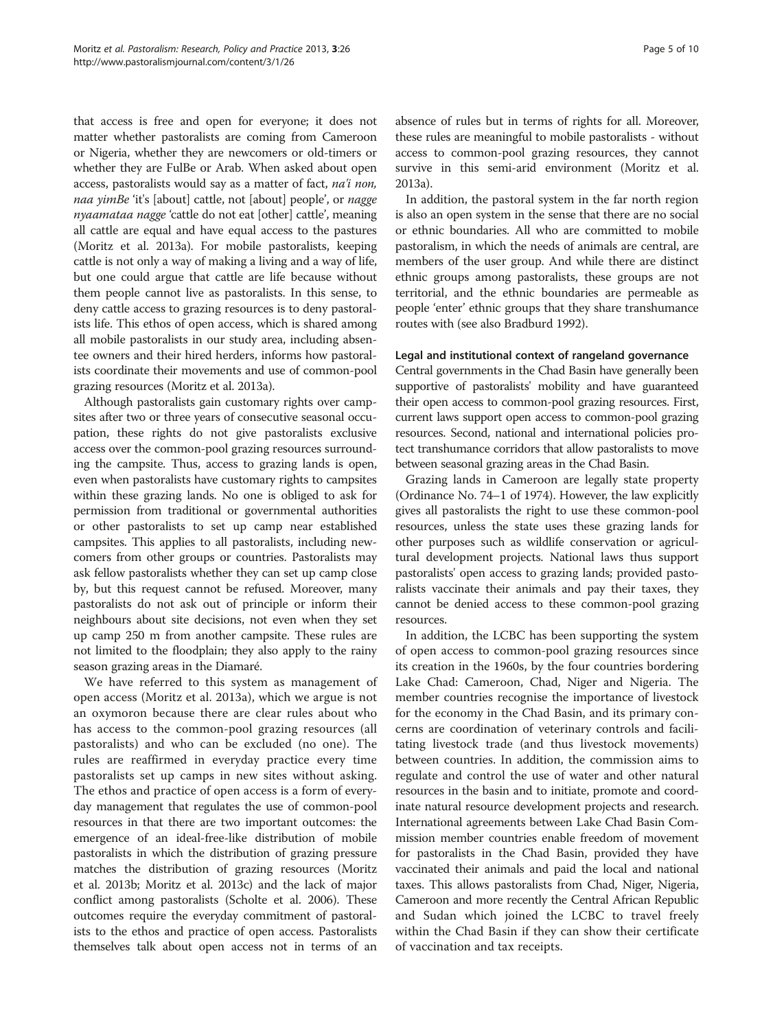that access is free and open for everyone; it does not matter whether pastoralists are coming from Cameroon or Nigeria, whether they are newcomers or old-timers or whether they are FulBe or Arab. When asked about open access, pastoralists would say as a matter of fact, *na'i non*, naa yimBe 'it's [about] cattle, not [about] people', or nagge nyaamataa nagge 'cattle do not eat [other] cattle', meaning all cattle are equal and have equal access to the pastures (Moritz et al. [2013a\)](#page-8-0). For mobile pastoralists, keeping cattle is not only a way of making a living and a way of life, but one could argue that cattle are life because without them people cannot live as pastoralists. In this sense, to deny cattle access to grazing resources is to deny pastoralists life. This ethos of open access, which is shared among all mobile pastoralists in our study area, including absentee owners and their hired herders, informs how pastoralists coordinate their movements and use of common-pool grazing resources (Moritz et al. [2013a\)](#page-8-0).

Although pastoralists gain customary rights over campsites after two or three years of consecutive seasonal occupation, these rights do not give pastoralists exclusive access over the common-pool grazing resources surrounding the campsite. Thus, access to grazing lands is open, even when pastoralists have customary rights to campsites within these grazing lands. No one is obliged to ask for permission from traditional or governmental authorities or other pastoralists to set up camp near established campsites. This applies to all pastoralists, including newcomers from other groups or countries. Pastoralists may ask fellow pastoralists whether they can set up camp close by, but this request cannot be refused. Moreover, many pastoralists do not ask out of principle or inform their neighbours about site decisions, not even when they set up camp 250 m from another campsite. These rules are not limited to the floodplain; they also apply to the rainy season grazing areas in the Diamaré.

We have referred to this system as management of open access (Moritz et al. [2013a\)](#page-8-0), which we argue is not an oxymoron because there are clear rules about who has access to the common-pool grazing resources (all pastoralists) and who can be excluded (no one). The rules are reaffirmed in everyday practice every time pastoralists set up camps in new sites without asking. The ethos and practice of open access is a form of everyday management that regulates the use of common-pool resources in that there are two important outcomes: the emergence of an ideal-free-like distribution of mobile pastoralists in which the distribution of grazing pressure matches the distribution of grazing resources (Moritz et al. [2013b;](#page-8-0) Moritz et al. [2013c\)](#page-8-0) and the lack of major conflict among pastoralists (Scholte et al. [2006](#page-9-0)). These outcomes require the everyday commitment of pastoralists to the ethos and practice of open access. Pastoralists themselves talk about open access not in terms of an

absence of rules but in terms of rights for all. Moreover, these rules are meaningful to mobile pastoralists - without access to common-pool grazing resources, they cannot survive in this semi-arid environment (Moritz et al. [2013a](#page-8-0)).

In addition, the pastoral system in the far north region is also an open system in the sense that there are no social or ethnic boundaries. All who are committed to mobile pastoralism, in which the needs of animals are central, are members of the user group. And while there are distinct ethnic groups among pastoralists, these groups are not territorial, and the ethnic boundaries are permeable as people 'enter' ethnic groups that they share transhumance routes with (see also Bradburd [1992\)](#page-8-0).

# Legal and institutional context of rangeland governance

Central governments in the Chad Basin have generally been supportive of pastoralists' mobility and have guaranteed their open access to common-pool grazing resources. First, current laws support open access to common-pool grazing resources. Second, national and international policies protect transhumance corridors that allow pastoralists to move between seasonal grazing areas in the Chad Basin.

Grazing lands in Cameroon are legally state property (Ordinance No. 74–1 of 1974). However, the law explicitly gives all pastoralists the right to use these common-pool resources, unless the state uses these grazing lands for other purposes such as wildlife conservation or agricultural development projects. National laws thus support pastoralists' open access to grazing lands; provided pastoralists vaccinate their animals and pay their taxes, they cannot be denied access to these common-pool grazing resources.

In addition, the LCBC has been supporting the system of open access to common-pool grazing resources since its creation in the 1960s, by the four countries bordering Lake Chad: Cameroon, Chad, Niger and Nigeria. The member countries recognise the importance of livestock for the economy in the Chad Basin, and its primary concerns are coordination of veterinary controls and facilitating livestock trade (and thus livestock movements) between countries. In addition, the commission aims to regulate and control the use of water and other natural resources in the basin and to initiate, promote and coordinate natural resource development projects and research. International agreements between Lake Chad Basin Commission member countries enable freedom of movement for pastoralists in the Chad Basin, provided they have vaccinated their animals and paid the local and national taxes. This allows pastoralists from Chad, Niger, Nigeria, Cameroon and more recently the Central African Republic and Sudan which joined the LCBC to travel freely within the Chad Basin if they can show their certificate of vaccination and tax receipts.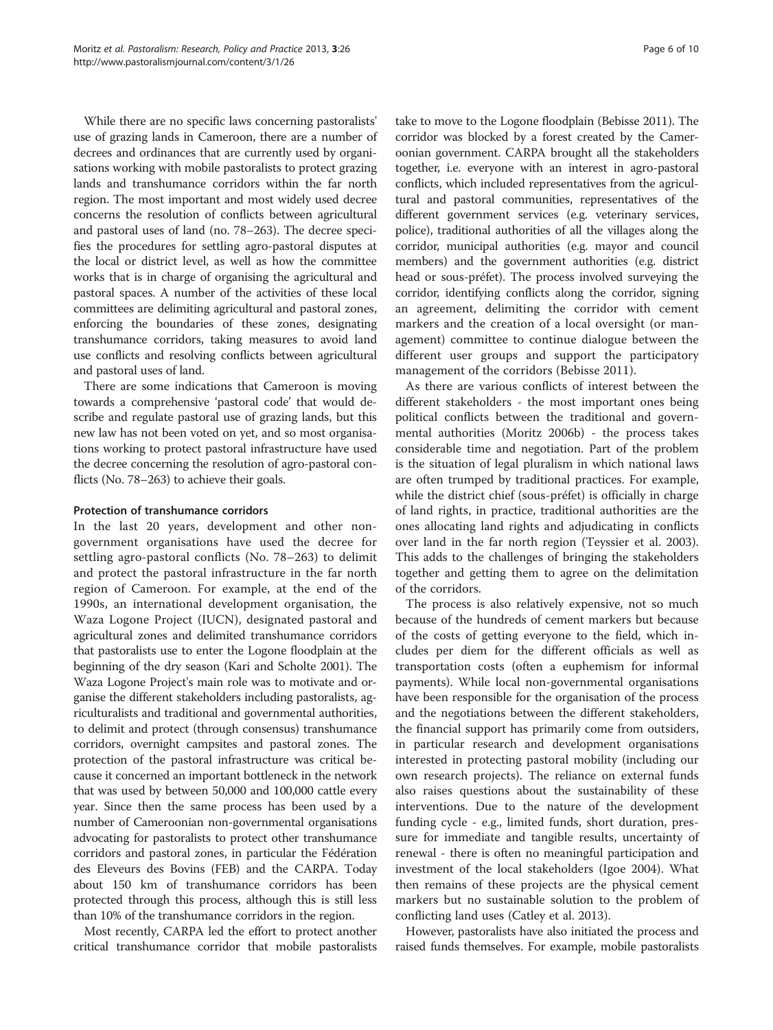While there are no specific laws concerning pastoralists' use of grazing lands in Cameroon, there are a number of decrees and ordinances that are currently used by organisations working with mobile pastoralists to protect grazing lands and transhumance corridors within the far north region. The most important and most widely used decree concerns the resolution of conflicts between agricultural and pastoral uses of land (no. 78–263). The decree specifies the procedures for settling agro-pastoral disputes at the local or district level, as well as how the committee works that is in charge of organising the agricultural and pastoral spaces. A number of the activities of these local committees are delimiting agricultural and pastoral zones, enforcing the boundaries of these zones, designating transhumance corridors, taking measures to avoid land use conflicts and resolving conflicts between agricultural and pastoral uses of land.

There are some indications that Cameroon is moving towards a comprehensive 'pastoral code' that would describe and regulate pastoral use of grazing lands, but this new law has not been voted on yet, and so most organisations working to protect pastoral infrastructure have used the decree concerning the resolution of agro-pastoral conflicts (No. 78–263) to achieve their goals.

# Protection of transhumance corridors

In the last 20 years, development and other nongovernment organisations have used the decree for settling agro-pastoral conflicts (No. 78–263) to delimit and protect the pastoral infrastructure in the far north region of Cameroon. For example, at the end of the 1990s, an international development organisation, the Waza Logone Project (IUCN), designated pastoral and agricultural zones and delimited transhumance corridors that pastoralists use to enter the Logone floodplain at the beginning of the dry season (Kari and Scholte [2001](#page-8-0)). The Waza Logone Project's main role was to motivate and organise the different stakeholders including pastoralists, agriculturalists and traditional and governmental authorities, to delimit and protect (through consensus) transhumance corridors, overnight campsites and pastoral zones. The protection of the pastoral infrastructure was critical because it concerned an important bottleneck in the network that was used by between 50,000 and 100,000 cattle every year. Since then the same process has been used by a number of Cameroonian non-governmental organisations advocating for pastoralists to protect other transhumance corridors and pastoral zones, in particular the Fédération des Eleveurs des Bovins (FEB) and the CARPA. Today about 150 km of transhumance corridors has been protected through this process, although this is still less than 10% of the transhumance corridors in the region.

Most recently, CARPA led the effort to protect another critical transhumance corridor that mobile pastoralists

take to move to the Logone floodplain (Bebisse [2011\)](#page-8-0). The corridor was blocked by a forest created by the Cameroonian government. CARPA brought all the stakeholders together, i.e. everyone with an interest in agro-pastoral conflicts, which included representatives from the agricultural and pastoral communities, representatives of the different government services (e.g. veterinary services, police), traditional authorities of all the villages along the corridor, municipal authorities (e.g. mayor and council members) and the government authorities (e.g. district head or sous-préfet). The process involved surveying the corridor, identifying conflicts along the corridor, signing an agreement, delimiting the corridor with cement markers and the creation of a local oversight (or management) committee to continue dialogue between the different user groups and support the participatory management of the corridors (Bebisse [2011](#page-8-0)).

As there are various conflicts of interest between the different stakeholders - the most important ones being political conflicts between the traditional and governmental authorities (Moritz [2006b](#page-8-0)) - the process takes considerable time and negotiation. Part of the problem is the situation of legal pluralism in which national laws are often trumped by traditional practices. For example, while the district chief (sous-préfet) is officially in charge of land rights, in practice, traditional authorities are the ones allocating land rights and adjudicating in conflicts over land in the far north region (Teyssier et al. [2003](#page-9-0)). This adds to the challenges of bringing the stakeholders together and getting them to agree on the delimitation of the corridors.

The process is also relatively expensive, not so much because of the hundreds of cement markers but because of the costs of getting everyone to the field, which includes per diem for the different officials as well as transportation costs (often a euphemism for informal payments). While local non-governmental organisations have been responsible for the organisation of the process and the negotiations between the different stakeholders, the financial support has primarily come from outsiders, in particular research and development organisations interested in protecting pastoral mobility (including our own research projects). The reliance on external funds also raises questions about the sustainability of these interventions. Due to the nature of the development funding cycle - e.g., limited funds, short duration, pressure for immediate and tangible results, uncertainty of renewal - there is often no meaningful participation and investment of the local stakeholders (Igoe [2004](#page-8-0)). What then remains of these projects are the physical cement markers but no sustainable solution to the problem of conflicting land uses (Catley et al. [2013](#page-8-0)).

However, pastoralists have also initiated the process and raised funds themselves. For example, mobile pastoralists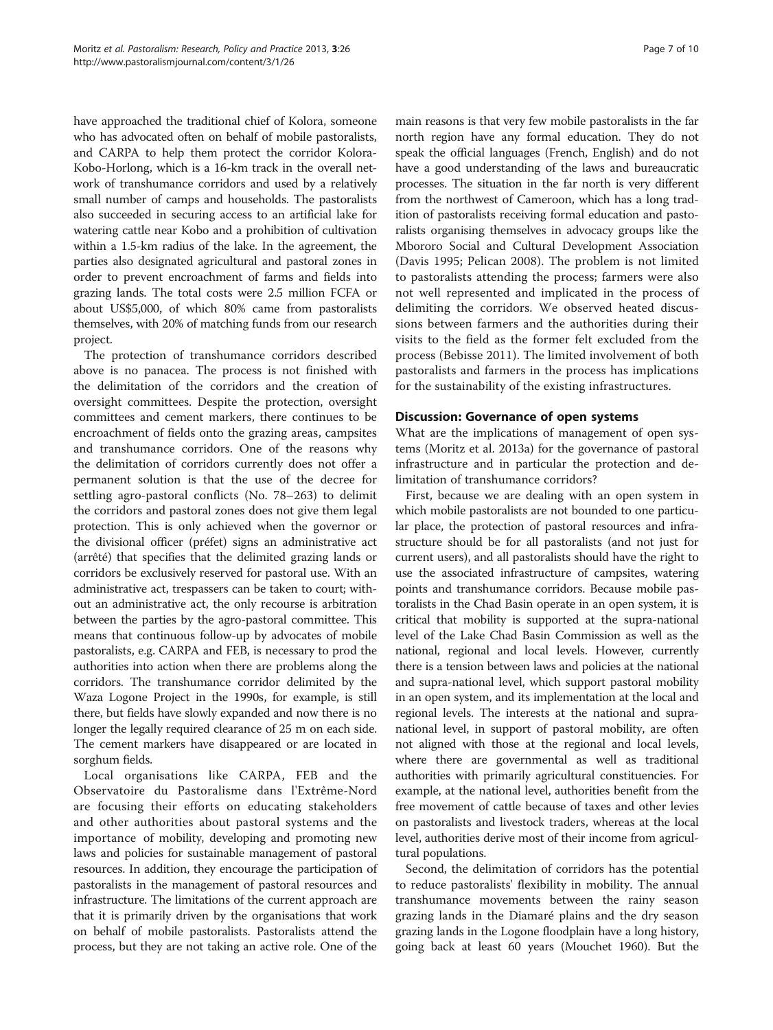have approached the traditional chief of Kolora, someone who has advocated often on behalf of mobile pastoralists, and CARPA to help them protect the corridor Kolora-Kobo-Horlong, which is a 16-km track in the overall network of transhumance corridors and used by a relatively small number of camps and households. The pastoralists also succeeded in securing access to an artificial lake for watering cattle near Kobo and a prohibition of cultivation within a 1.5-km radius of the lake. In the agreement, the parties also designated agricultural and pastoral zones in order to prevent encroachment of farms and fields into grazing lands. The total costs were 2.5 million FCFA or about US\$5,000, of which 80% came from pastoralists themselves, with 20% of matching funds from our research project.

The protection of transhumance corridors described above is no panacea. The process is not finished with the delimitation of the corridors and the creation of oversight committees. Despite the protection, oversight committees and cement markers, there continues to be encroachment of fields onto the grazing areas, campsites and transhumance corridors. One of the reasons why the delimitation of corridors currently does not offer a permanent solution is that the use of the decree for settling agro-pastoral conflicts (No. 78–263) to delimit the corridors and pastoral zones does not give them legal protection. This is only achieved when the governor or the divisional officer (préfet) signs an administrative act (arrêté) that specifies that the delimited grazing lands or corridors be exclusively reserved for pastoral use. With an administrative act, trespassers can be taken to court; without an administrative act, the only recourse is arbitration between the parties by the agro-pastoral committee. This means that continuous follow-up by advocates of mobile pastoralists, e.g. CARPA and FEB, is necessary to prod the authorities into action when there are problems along the corridors. The transhumance corridor delimited by the Waza Logone Project in the 1990s, for example, is still there, but fields have slowly expanded and now there is no longer the legally required clearance of 25 m on each side. The cement markers have disappeared or are located in sorghum fields.

Local organisations like CARPA, FEB and the Observatoire du Pastoralisme dans l'Extrême-Nord are focusing their efforts on educating stakeholders and other authorities about pastoral systems and the importance of mobility, developing and promoting new laws and policies for sustainable management of pastoral resources. In addition, they encourage the participation of pastoralists in the management of pastoral resources and infrastructure. The limitations of the current approach are that it is primarily driven by the organisations that work on behalf of mobile pastoralists. Pastoralists attend the process, but they are not taking an active role. One of the

main reasons is that very few mobile pastoralists in the far north region have any formal education. They do not speak the official languages (French, English) and do not have a good understanding of the laws and bureaucratic processes. The situation in the far north is very different from the northwest of Cameroon, which has a long tradition of pastoralists receiving formal education and pastoralists organising themselves in advocacy groups like the Mbororo Social and Cultural Development Association (Davis [1995](#page-8-0); Pelican [2008\)](#page-8-0). The problem is not limited to pastoralists attending the process; farmers were also not well represented and implicated in the process of delimiting the corridors. We observed heated discussions between farmers and the authorities during their visits to the field as the former felt excluded from the process (Bebisse [2011](#page-8-0)). The limited involvement of both pastoralists and farmers in the process has implications for the sustainability of the existing infrastructures.

# Discussion: Governance of open systems

What are the implications of management of open systems (Moritz et al. [2013a](#page-8-0)) for the governance of pastoral infrastructure and in particular the protection and delimitation of transhumance corridors?

First, because we are dealing with an open system in which mobile pastoralists are not bounded to one particular place, the protection of pastoral resources and infrastructure should be for all pastoralists (and not just for current users), and all pastoralists should have the right to use the associated infrastructure of campsites, watering points and transhumance corridors. Because mobile pastoralists in the Chad Basin operate in an open system, it is critical that mobility is supported at the supra-national level of the Lake Chad Basin Commission as well as the national, regional and local levels. However, currently there is a tension between laws and policies at the national and supra-national level, which support pastoral mobility in an open system, and its implementation at the local and regional levels. The interests at the national and supranational level, in support of pastoral mobility, are often not aligned with those at the regional and local levels, where there are governmental as well as traditional authorities with primarily agricultural constituencies. For example, at the national level, authorities benefit from the free movement of cattle because of taxes and other levies on pastoralists and livestock traders, whereas at the local level, authorities derive most of their income from agricultural populations.

Second, the delimitation of corridors has the potential to reduce pastoralists' flexibility in mobility. The annual transhumance movements between the rainy season grazing lands in the Diamaré plains and the dry season grazing lands in the Logone floodplain have a long history, going back at least 60 years (Mouchet [1960](#page-8-0)). But the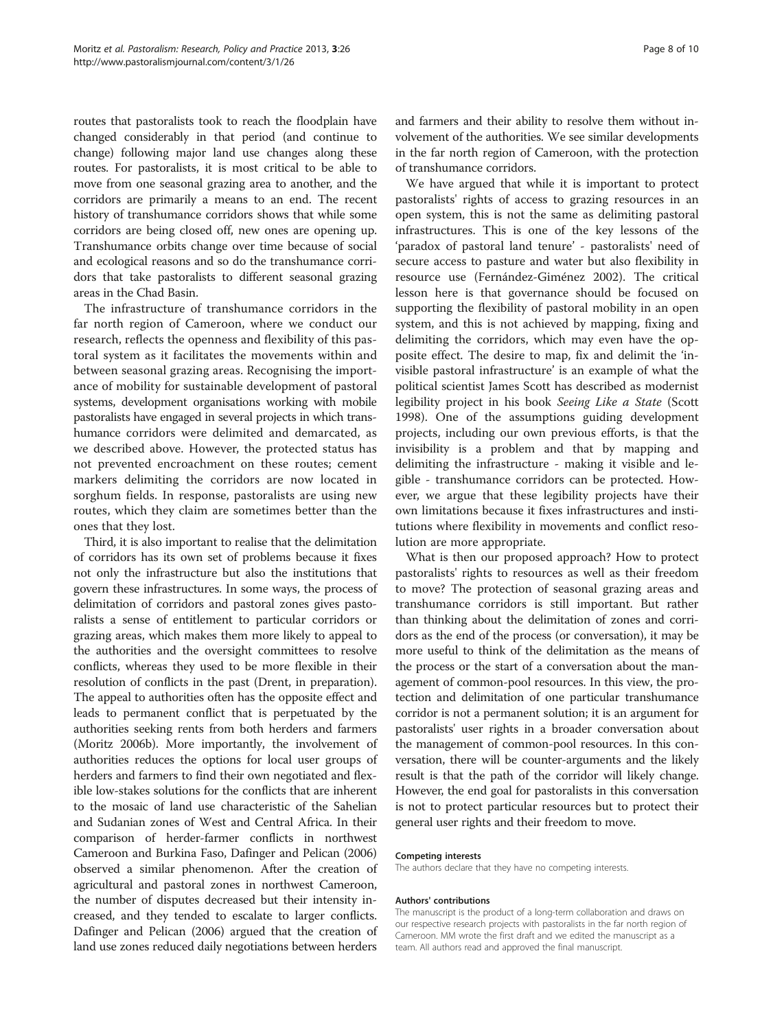routes that pastoralists took to reach the floodplain have changed considerably in that period (and continue to change) following major land use changes along these routes. For pastoralists, it is most critical to be able to move from one seasonal grazing area to another, and the corridors are primarily a means to an end. The recent history of transhumance corridors shows that while some corridors are being closed off, new ones are opening up. Transhumance orbits change over time because of social and ecological reasons and so do the transhumance corridors that take pastoralists to different seasonal grazing areas in the Chad Basin.

The infrastructure of transhumance corridors in the far north region of Cameroon, where we conduct our research, reflects the openness and flexibility of this pastoral system as it facilitates the movements within and between seasonal grazing areas. Recognising the importance of mobility for sustainable development of pastoral systems, development organisations working with mobile pastoralists have engaged in several projects in which transhumance corridors were delimited and demarcated, as we described above. However, the protected status has not prevented encroachment on these routes; cement markers delimiting the corridors are now located in sorghum fields. In response, pastoralists are using new routes, which they claim are sometimes better than the ones that they lost.

Third, it is also important to realise that the delimitation of corridors has its own set of problems because it fixes not only the infrastructure but also the institutions that govern these infrastructures. In some ways, the process of delimitation of corridors and pastoral zones gives pastoralists a sense of entitlement to particular corridors or grazing areas, which makes them more likely to appeal to the authorities and the oversight committees to resolve conflicts, whereas they used to be more flexible in their resolution of conflicts in the past (Drent, in preparation). The appeal to authorities often has the opposite effect and leads to permanent conflict that is perpetuated by the authorities seeking rents from both herders and farmers (Moritz [2006b](#page-8-0)). More importantly, the involvement of authorities reduces the options for local user groups of herders and farmers to find their own negotiated and flexible low-stakes solutions for the conflicts that are inherent to the mosaic of land use characteristic of the Sahelian and Sudanian zones of West and Central Africa. In their comparison of herder-farmer conflicts in northwest Cameroon and Burkina Faso, Dafinger and Pelican [\(2006](#page-8-0)) observed a similar phenomenon. After the creation of agricultural and pastoral zones in northwest Cameroon, the number of disputes decreased but their intensity increased, and they tended to escalate to larger conflicts. Dafinger and Pelican ([2006\)](#page-8-0) argued that the creation of land use zones reduced daily negotiations between herders

and farmers and their ability to resolve them without involvement of the authorities. We see similar developments in the far north region of Cameroon, with the protection of transhumance corridors.

We have argued that while it is important to protect pastoralists' rights of access to grazing resources in an open system, this is not the same as delimiting pastoral infrastructures. This is one of the key lessons of the 'paradox of pastoral land tenure' - pastoralists' need of secure access to pasture and water but also flexibility in resource use (Fernández-Giménez [2002\)](#page-8-0). The critical lesson here is that governance should be focused on supporting the flexibility of pastoral mobility in an open system, and this is not achieved by mapping, fixing and delimiting the corridors, which may even have the opposite effect. The desire to map, fix and delimit the 'invisible pastoral infrastructure' is an example of what the political scientist James Scott has described as modernist legibility project in his book Seeing Like a State (Scott [1998](#page-9-0)). One of the assumptions guiding development projects, including our own previous efforts, is that the invisibility is a problem and that by mapping and delimiting the infrastructure - making it visible and legible - transhumance corridors can be protected. However, we argue that these legibility projects have their own limitations because it fixes infrastructures and institutions where flexibility in movements and conflict resolution are more appropriate.

What is then our proposed approach? How to protect pastoralists' rights to resources as well as their freedom to move? The protection of seasonal grazing areas and transhumance corridors is still important. But rather than thinking about the delimitation of zones and corridors as the end of the process (or conversation), it may be more useful to think of the delimitation as the means of the process or the start of a conversation about the management of common-pool resources. In this view, the protection and delimitation of one particular transhumance corridor is not a permanent solution; it is an argument for pastoralists' user rights in a broader conversation about the management of common-pool resources. In this conversation, there will be counter-arguments and the likely result is that the path of the corridor will likely change. However, the end goal for pastoralists in this conversation is not to protect particular resources but to protect their general user rights and their freedom to move.

#### Competing interests

The authors declare that they have no competing interests.

#### Authors' contributions

The manuscript is the product of a long-term collaboration and draws on our respective research projects with pastoralists in the far north region of Cameroon. MM wrote the first draft and we edited the manuscript as a team. All authors read and approved the final manuscript.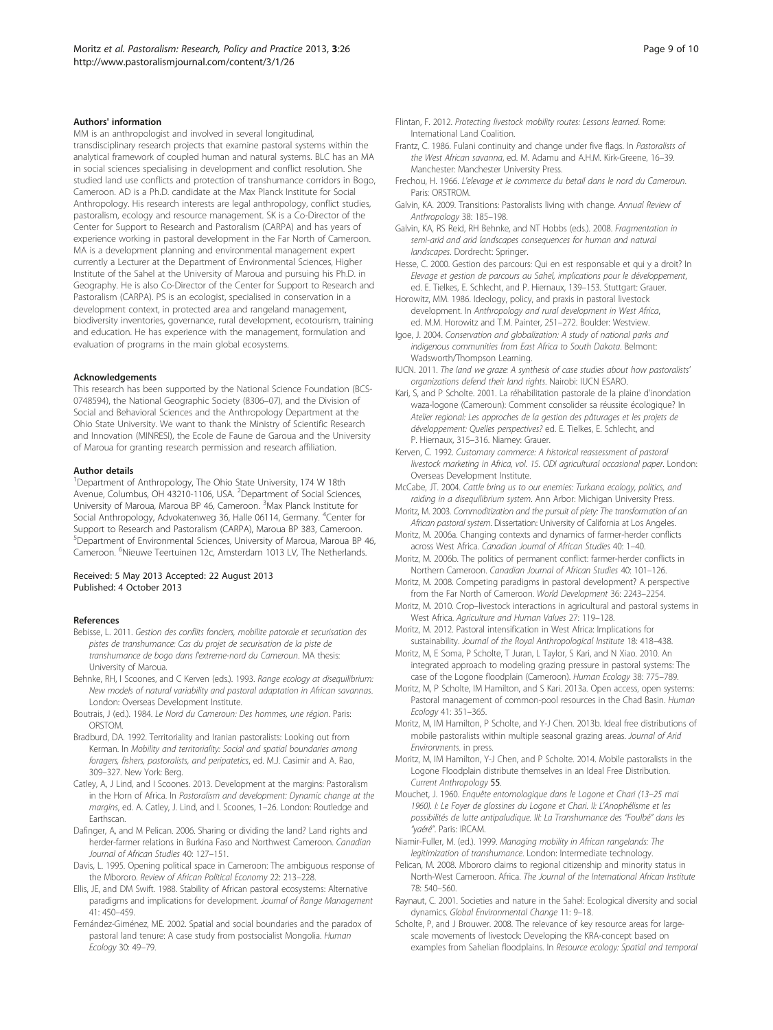#### <span id="page-8-0"></span>Authors' information

MM is an anthropologist and involved in several longitudinal, transdisciplinary research projects that examine pastoral systems within the analytical framework of coupled human and natural systems. BLC has an MA in social sciences specialising in development and conflict resolution. She studied land use conflicts and protection of transhumance corridors in Bogo, Cameroon. AD is a Ph.D. candidate at the Max Planck Institute for Social Anthropology. His research interests are legal anthropology, conflict studies, pastoralism, ecology and resource management. SK is a Co-Director of the Center for Support to Research and Pastoralism (CARPA) and has years of experience working in pastoral development in the Far North of Cameroon. MA is a development planning and environmental management expert currently a Lecturer at the Department of Environmental Sciences, Higher Institute of the Sahel at the University of Maroua and pursuing his Ph.D. in Geography. He is also Co-Director of the Center for Support to Research and Pastoralism (CARPA). PS is an ecologist, specialised in conservation in a development context, in protected area and rangeland management, biodiversity inventories, governance, rural development, ecotourism, training and education. He has experience with the management, formulation and evaluation of programs in the main global ecosystems.

#### Acknowledgements

This research has been supported by the National Science Foundation (BCS-0748594), the National Geographic Society (8306–07), and the Division of Social and Behavioral Sciences and the Anthropology Department at the Ohio State University. We want to thank the Ministry of Scientific Research and Innovation (MINRESI), the Ecole de Faune de Garoua and the University of Maroua for granting research permission and research affiliation.

#### Author details

<sup>1</sup>Department of Anthropology, The Ohio State University, 174 W 18th Avenue, Columbus, OH 43210-1106, USA. <sup>2</sup>Department of Social Sciences, University of Maroua, Maroua BP 46, Cameroon. <sup>3</sup>Max Planck Institute for Social Anthropology, Advokatenweg 36, Halle 06114, Germany. <sup>4</sup>Center for Support to Research and Pastoralism (CARPA), Maroua BP 383, Cameroon. 5 Department of Environmental Sciences, University of Maroua, Maroua BP 46, Cameroon. <sup>6</sup>Nieuwe Teertuinen 12c, Amsterdam 1013 LV, The Netherlands.

#### Received: 5 May 2013 Accepted: 22 August 2013 Published: 4 October 2013

#### References

- Bebisse, L. 2011. Gestion des conflits fonciers, mobilite patorale et securisation des pistes de transhumance: Cas du projet de securisation de la piste de transhumance de bogo dans l'extreme-nord du Cameroun. MA thesis: University of Maroua.
- Behnke, RH, I Scoones, and C Kerven (eds.). 1993. Range ecology at disequilibrium: New models of natural variability and pastoral adaptation in African savannas. London: Overseas Development Institute.
- Boutrais, J (ed.). 1984. Le Nord du Cameroun: Des hommes, une région. Paris: ORSTOM.
- Bradburd, DA. 1992. Territoriality and Iranian pastoralists: Looking out from Kerman. In Mobility and territoriality: Social and spatial boundaries among foragers, fishers, pastoralists, and peripatetics, ed. M.J. Casimir and A. Rao, 309–327. New York: Berg.
- Catley, A, J Lind, and I Scoones. 2013. Development at the margins: Pastoralism in the Horn of Africa. In Pastoralism and development: Dynamic change at the margins, ed. A. Catley, J. Lind, and I. Scoones, 1–26. London: Routledge and Earthscan.
- Dafinger, A, and M Pelican. 2006. Sharing or dividing the land? Land rights and herder-farmer relations in Burkina Faso and Northwest Cameroon. Canadian Journal of African Studies 40: 127–151.
- Davis, L. 1995. Opening political space in Cameroon: The ambiguous response of the Mbororo. Review of African Political Economy 22: 213–228.
- Ellis, JE, and DM Swift. 1988. Stability of African pastoral ecosystems: Alternative paradigms and implications for development. Journal of Range Management 41: 450–459.
- Fernández-Giménez, ME. 2002. Spatial and social boundaries and the paradox of pastoral land tenure: A case study from postsocialist Mongolia. Human Ecology 30: 49–79.
- Flintan, F. 2012. Protecting livestock mobility routes: Lessons learned. Rome: International Land Coalition.
- Frantz, C. 1986. Fulani continuity and change under five flags. In Pastoralists of the West African savanna, ed. M. Adamu and A.H.M. Kirk-Greene, 16–39. Manchester: Manchester University Press.
- Frechou, H. 1966. L'elevage et le commerce du betail dans le nord du Cameroun. Paris: ORSTROM.
- Galvin, KA. 2009. Transitions: Pastoralists living with change. Annual Review of Anthropology 38: 185–198.
- Galvin, KA, RS Reid, RH Behnke, and NT Hobbs (eds.). 2008. Fragmentation in semi-arid and arid landscapes consequences for human and natural landscapes. Dordrecht: Springer.
- Hesse, C. 2000. Gestion des parcours: Qui en est responsable et qui y a droit? In Elevage et gestion de parcours au Sahel, implications pour le développement, ed. E. Tielkes, E. Schlecht, and P. Hiernaux, 139–153. Stuttgart: Grauer.

Horowitz, MM. 1986. Ideology, policy, and praxis in pastoral livestock development. In Anthropology and rural development in West Africa, ed. M.M. Horowitz and T.M. Painter, 251–272. Boulder: Westview.

- Igoe, J. 2004. Conservation and globalization: A study of national parks and indigenous communities from East Africa to South Dakota. Belmont: Wadsworth/Thompson Learning.
- IUCN. 2011. The land we graze: A synthesis of case studies about how pastoralists' organizations defend their land rights. Nairobi: IUCN ESARO.
- Kari, S, and P Scholte. 2001. La réhabilitation pastorale de la plaine d'inondation waza-logone (Cameroun): Comment consolider sa réussite écologique? In Atelier regional: Les approches de la gestion des pâturages et les projets de développement: Quelles perspectives? ed. E. Tielkes, E. Schlecht, and P. Hiernaux, 315–316. Niamey: Grauer.
- Kerven, C. 1992. Customary commerce: A historical reassessment of pastoral livestock marketing in Africa, vol. 15. ODI agricultural occasional paper. London: Overseas Development Institute.
- McCabe, JT. 2004. Cattle bring us to our enemies: Turkana ecology, politics, and raiding in a disequilibrium system. Ann Arbor: Michigan University Press.
- Moritz, M. 2003. Commoditization and the pursuit of piety: The transformation of an African pastoral system. Dissertation: University of California at Los Angeles.
- Moritz, M. 2006a. Changing contexts and dynamics of farmer-herder conflicts across West Africa. Canadian Journal of African Studies 40: 1–40.
- Moritz, M. 2006b. The politics of permanent conflict: farmer-herder conflicts in Northern Cameroon. Canadian Journal of African Studies 40: 101–126.
- Moritz, M. 2008. Competing paradigms in pastoral development? A perspective from the Far North of Cameroon. World Development 36: 2243–2254.
- Moritz, M. 2010. Crop–livestock interactions in agricultural and pastoral systems in West Africa. Agriculture and Human Values 27: 119–128.
- Moritz, M. 2012. Pastoral intensification in West Africa: Implications for sustainability. Journal of the Royal Anthropological Institute 18: 418–438.
- Moritz, M, E Soma, P Scholte, T Juran, L Taylor, S Kari, and N Xiao. 2010. An integrated approach to modeling grazing pressure in pastoral systems: The case of the Logone floodplain (Cameroon). Human Ecology 38: 775–789.
- Moritz, M, P Scholte, IM Hamilton, and S Kari. 2013a. Open access, open systems: Pastoral management of common-pool resources in the Chad Basin. Human Ecology 41: 351–365.
- Moritz, M, IM Hamilton, P Scholte, and Y-J Chen. 2013b. Ideal free distributions of mobile pastoralists within multiple seasonal grazing areas. Journal of Arid Environments. in press.
- Moritz, M, IM Hamilton, Y-J Chen, and P Scholte. 2014. Mobile pastoralists in the Logone Floodplain distribute themselves in an Ideal Free Distribution. Current Anthropology 55.
- Mouchet, J. 1960. Enquête entomologique dans le Logone et Chari (13–25 mai 1960). I: Le Foyer de glossines du Logone et Chari. II: L'Anophélisme et les possibilités de lutte antipaludique. III: La Transhumance des "Foulbé" dans les "yaéré". Paris: IRCAM.
- Niamir-Fuller, M. (ed.). 1999. Managing mobility in African rangelands: The legitimization of transhumance. London: Intermediate technology.
- Pelican, M. 2008. Mbororo claims to regional citizenship and minority status in North-West Cameroon. Africa. The Journal of the International African Institute 78: 540–560.
- Raynaut, C. 2001. Societies and nature in the Sahel: Ecological diversity and social dynamics. Global Environmental Change 11: 9–18.
- Scholte, P, and J Brouwer. 2008. The relevance of key resource areas for largescale movements of livestock: Developing the KRA-concept based on examples from Sahelian floodplains. In Resource ecology: Spatial and temporal